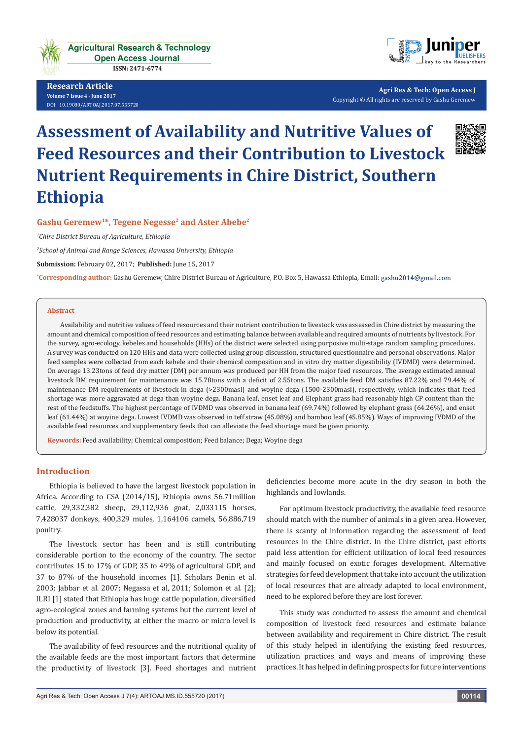

**Research Article Volume 7 Issue 4 - June 2017** [DOI:](http://dx.doi.org/10.19080/artoaj.2016.02.555590
) [10.19080/ARTOAJ.2017.07.555720](http://dx.doi.org/10.19080/artoaj.2017.07.555720)



**Agri Res & Tech: Open Access J** Copyright © All rights are reserved by Gashu Geremew

# **Assessment of Availability and Nutritive Values of Feed Resources and their Contribution to Livestock Nutrient Requirements in Chire District, Southern Ethiopia**



## Gashu Geremew<sup>1\*</sup>, Tegene Negesse<sup>2</sup> and Aster Abebe<sup>2</sup>

*1 Chire District Bureau of Agriculture, Ethiopia*

*2 School of Animal and Range Sciences, Hawassa University, Ethiopia* 

**Submission:** February 02, 2017; **Published:** June 15, 2017

**\* Corresponding author:** Gashu Geremew, Chire District Bureau of Agriculture, P.O. Box 5, Hawassa Ethiopia, Email:

#### **Abstract**

Availability and nutritive values of feed resources and their nutrient contribution to livestock was assessed in Chire district by measuring the amount and chemical composition of feed resources and estimating balance between available and required amounts of nutrients by livestock. For the survey, agro-ecology, kebeles and households (HHs) of the district were selected using purposive multi-stage random sampling procedures. A survey was conducted on 120 HHs and data were collected using group discussion, structured questionnaire and personal observations. Major feed samples were collected from each kebele and their chemical composition and in vitro dry matter digestibility (IVDMD) were determined. On average 13.23tons of feed dry matter (DM) per annum was produced per HH from the major feed resources. The average estimated annual livestock DM requirement for maintenance was 15.78tons with a deficit of 2.55tons. The available feed DM satisfies 87.22% and 79.44% of maintenance DM requirements of livestock in dega (>2300masl) and woyine dega (1500-2300masl), respectively, which indicates that feed shortage was more aggravated at dega than woyine dega. Banana leaf, enset leaf and Elephant grass had reasonably high CP content than the rest of the feedstuffs. The highest percentage of IVDMD was observed in banana leaf (69.74%) followed by elephant grass (64.26%), and enset leaf (61.44%) at woyine dega. Lowest IVDMD was observed in teff straw (45.08%) and bamboo leaf (45.85%). Ways of improving IVDMD of the available feed resources and supplementary feeds that can alleviate the feed shortage must be given priority.

**Keywords:** Feed availability; Chemical composition; Feed balance; Dega; Woyine dega

#### **Introduction**

Ethiopia is believed to have the largest livestock population in Africa. According to CSA (2014/15), Ethiopia owns 56.71million cattle, 29,332,382 sheep, 29,112,936 goat, 2,033115 horses, 7,428037 donkeys, 400,329 mules, 1,164106 camels, 56,886,719 poultry.

The livestock sector has been and is still contributing considerable portion to the economy of the country. The sector contributes 15 to 17% of GDP, 35 to 49% of agricultural GDP, and 37 to 87% of the household incomes [1]. Scholars Benin et al. 2003; Jabbar et al. 2007; Negassa et al, 2011; Solomon et al. [2]; ILRI [1] stated that Ethiopia has huge cattle population, diversified agro-ecological zones and farming systems but the current level of production and productivity, at either the macro or micro level is below its potential.

The availability of feed resources and the nutritional quality of the available feeds are the most important factors that determine the productivity of livestock [3]. Feed shortages and nutrient

deficiencies become more acute in the dry season in both the highlands and lowlands.

For optimum livestock productivity, the available feed resource should match with the number of animals in a given area. However, there is scanty of information regarding the assessment of feed resources in the Chire district. In the Chire district, past efforts paid less attention for efficient utilization of local feed resources and mainly focused on exotic forages development. Alternative strategies for feed development that take into account the utilization of local resources that are already adapted to local environment, need to be explored before they are lost forever.

This study was conducted to assess the amount and chemical composition of livestock feed resources and estimate balance between availability and requirement in Chire district. The result of this study helped in identifying the existing feed resources, utilization practices and ways and means of improving these practices. It has helped in defining prospects for future interventions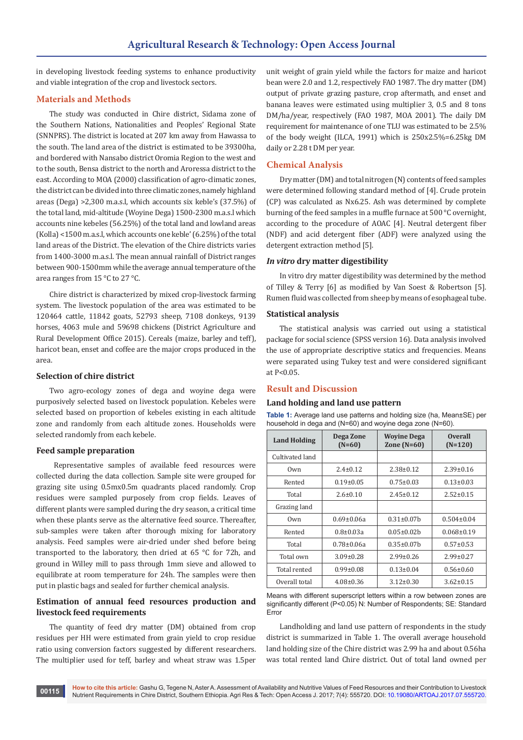in developing livestock feeding systems to enhance productivity and viable integration of the crop and livestock sectors.

## **Materials and Methods**

The study was conducted in Chire district, Sidama zone of the Southern Nations, Nationalities and Peoples' Regional State (SNNPRS). The district is located at 207 km away from Hawassa to the south. The land area of the district is estimated to be 39300ha, and bordered with Nansabo district Oromia Region to the west and to the south, Bensa district to the north and Aroressa district to the east. According to MOA (2000) classification of agro-climatic zones, the district can be divided into three climatic zones, namely highland areas (Dega) >2,300 m.a.s.l, which accounts six keble's (37.5%) of the total land, mid-altitude (Woyine Dega) 1500-2300 m.a.s.l which accounts nine kebeles (56.25%) of the total land and lowland areas (Kolla) <1500 m.a.s.l, which accounts one keble' (6.25%) of the total land areas of the District. The elevation of the Chire districts varies from 1400-3000 m.a.s.l. The mean annual rainfall of District ranges between 900-1500mm while the average annual temperature of the area ranges from 15 °C to 27 °C.

Chire district is characterized by mixed crop-livestock farming system. The livestock population of the area was estimated to be 120464 cattle, 11842 goats, 52793 sheep, 7108 donkeys, 9139 horses, 4063 mule and 59698 chickens (District Agriculture and Rural Development Office 2015). Cereals (maize, barley and teff), haricot bean, enset and coffee are the major crops produced in the area.

#### **Selection of chire district**

Two agro-ecology zones of dega and woyine dega were purposively selected based on livestock population. Kebeles were selected based on proportion of kebeles existing in each altitude zone and randomly from each altitude zones. Households were selected randomly from each kebele.

#### **Feed sample preparation**

 Representative samples of available feed resources were collected during the data collection. Sample site were grouped for grazing site using 0.5mx0.5m quadrants placed randomly. Crop residues were sampled purposely from crop fields. Leaves of different plants were sampled during the dry season, a critical time when these plants serve as the alternative feed source. Thereafter, sub-samples were taken after thorough mixing for laboratory analysis. Feed samples were air-dried under shed before being transported to the laboratory, then dried at 65 °C for 72h, and ground in Willey mill to pass through 1mm sieve and allowed to equilibrate at room temperature for 24h. The samples were then put in plastic bags and sealed for further chemical analysis.

# **Estimation of annual feed resources production and livestock feed requirements**

The quantity of feed dry matter (DM) obtained from crop residues per HH were estimated from grain yield to crop residue ratio using conversion factors suggested by different researchers. The multiplier used for teff, barley and wheat straw was 1.5per

unit weight of grain yield while the factors for maize and haricot bean were 2.0 and 1.2, respectively FAO 1987. The dry matter (DM) output of private grazing pasture, crop aftermath, and enset and banana leaves were estimated using multiplier 3, 0.5 and 8 tons DM/ha/year, respectively (FAO 1987, MOA 2001). The daily DM requirement for maintenance of one TLU was estimated to be 2.5% of the body weight (ILCA, 1991) which is 250x2.5%=6.25kg DM daily or 2.28 t DM per year.

## **Chemical Analysis**

Dry matter (DM) and total nitrogen (N) contents of feed samples were determined following standard method of [4]. Crude protein (CP) was calculated as Nx6.25. Ash was determined by complete burning of the feed samples in a muffle furnace at 500 °C overnight, according to the procedure of AOAC [4]. Neutral detergent fiber (NDF) and acid detergent fiber (ADF) were analyzed using the detergent extraction method [5].

## *In vitro* **dry matter digestibility**

In vitro dry matter digestibility was determined by the method of Tilley & Terry [6] as modified by Van Soest & Robertson [5]. Rumen fluid was collected from sheep by means of esophageal tube.

## **Statistical analysis**

The statistical analysis was carried out using a statistical package for social science (SPSS version 16). Data analysis involved the use of appropriate descriptive statics and frequencies. Means were separated using Tukey test and were considered significant at P<0.05.

## **Result and Discussion**

#### **Land holding and land use pattern**

**Table 1:** Average land use patterns and holding size (ha, Mean±SE) per household in dega and (N=60) and woyine dega zone (N=60).

| <b>Land Holding</b> | Dega Zone<br>$(N=60)$ | <b>Wovine Dega</b><br>Zone $(N=60)$ | <b>Overall</b><br>$(N=120)$ |  |
|---------------------|-----------------------|-------------------------------------|-----------------------------|--|
| Cultivated land     |                       |                                     |                             |  |
| Own                 | $2.4 \pm 0.12$        | $2.38 \pm 0.12$                     | $2.39 \pm 0.16$             |  |
| Rented              | $0.19 \pm 0.05$       | $0.75 \pm 0.03$                     | $0.13 \pm 0.03$             |  |
| Total               | $2.6 \pm 0.10$        | $2.45 \pm 0.12$                     | $2.52 \pm 0.15$             |  |
| Grazing land        |                       |                                     |                             |  |
| Own                 | $0.69 \pm 0.06a$      | $0.31 \pm 0.07$ b                   | $0.504 \pm 0.04$            |  |
| Rented              | $0.8 \pm 0.03a$       | $0.05 \pm 0.02$ b                   | $0.068 \pm 0.19$            |  |
| Total               | $0.78 \pm 0.06a$      | $0.35 \pm 0.07$ b                   | $0.57 \pm 0.53$             |  |
| Total own           | $3.09 \pm 0.28$       | $2.99 \pm 0.26$                     | $2.99 \pm 0.27$             |  |
| Total rented        | $0.99 \pm 0.08$       | $0.13 \pm 0.04$                     | $0.56 \pm 0.60$             |  |
| Overall total       | $4.08 \pm 0.36$       | $3.12 \pm 0.30$                     | $3.62 \pm 0.15$             |  |

Means with different superscript letters within a row between zones are significantly different (P<0.05) N: Number of Respondents; SE: Standard Error

Landholding and land use pattern of respondents in the study district is summarized in Table 1. The overall average household land holding size of the Chire district was 2.99 ha and about 0.56ha was total rented land Chire district. Out of total land owned per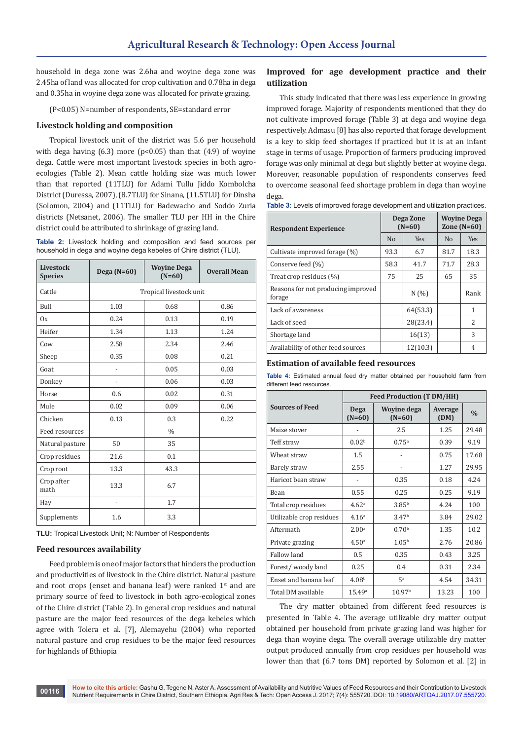household in dega zone was 2.6ha and woyine dega zone was 2.45ha of land was allocated for crop cultivation and 0.78ha in dega and 0.35ha in woyine dega zone was allocated for private grazing.

(P<0.05) N=number of respondents, SE=standard error

#### **Livestock holding and composition**

Tropical livestock unit of the district was 5.6 per household with dega having  $(6.3)$  more  $(p<0.05)$  than that  $(4.9)$  of woyine dega. Cattle were most important livestock species in both agroecologies (Table 2). Mean cattle holding size was much lower than that reported (11TLU) for Adami Tullu Jiddo Kombolcha District (Duressa, 2007), (8.7TLU) for Sinana, (11.5TLU) for Dinsha (Solomon, 2004) and (11TLU) for Badewacho and Soddo Zuria districts (Netsanet, 2006). The smaller TLU per HH in the Chire district could be attributed to shrinkage of grazing land.

**Table 2:** Livestock holding and composition and feed sources per household in dega and woyine dega kebeles of Chire district (TLU).

| Livestock<br><b>Species</b> | Dega $(N=60)$  | <b>Woyine Dega</b><br>$(N=60)$ | <b>Overall Mean</b> |
|-----------------------------|----------------|--------------------------------|---------------------|
| Cattle                      |                | Tropical livestock unit        |                     |
| Bull                        | 1.03           | 0.68                           | 0.86                |
| 0x                          | 0.24           | 0.13                           | 0.19                |
| Heifer                      | 1.34           | 1.13                           | 1.24                |
| Cow                         | 2.58           | 2.34                           | 2.46                |
| Sheep                       | 0.35           | 0.08                           | 0.21                |
| Goat                        |                | 0.05                           | 0.03                |
| Donkey                      | -              | 0.06                           | 0.03                |
| Horse                       | 0.6            | 0.02                           | 0.31                |
| Mule                        | 0.02           | 0.09                           | 0.06                |
| Chicken                     | 0.13           | 0.3                            | 0.22                |
| Feed resources              |                | $\frac{0}{0}$                  |                     |
| Natural pasture             | 50             | 35                             |                     |
| Crop residues               | 21.6           | 0.1                            |                     |
| Crop root                   | 13.3           | 43.3                           |                     |
| Crop after<br>math          | 13.3           | 6.7                            |                     |
| Hay                         | $\overline{a}$ | 1.7                            |                     |
| Supplements                 | 1.6            | 3.3                            |                     |

**TLU:** Tropical Livestock Unit; N: Number of Respondents

#### **Feed resources availability**

Feed problem is one of major factors that hinders the production and productivities of livestock in the Chire district. Natural pasture and root crops (enset and banana leaf) were ranked  $1<sup>st</sup>$  and are primary source of feed to livestock in both agro-ecological zones of the Chire district (Table 2). In general crop residues and natural pasture are the major feed resources of the dega kebeles which agree with Tolera et al. [7], Alemayehu (2004) who reported natural pasture and crop residues to be the major feed resources for highlands of Ethiopia

## **Improved for age development practice and their utilization**

This study indicated that there was less experience in growing improved forage. Majority of respondents mentioned that they do not cultivate improved forage (Table 3) at dega and woyine dega respectively. Admasu [8] has also reported that forage development is a key to skip feed shortages if practiced but it is at an infant stage in terms of usage. Proportion of farmers producing improved forage was only minimal at dega but slightly better at woyine dega. Moreover, reasonable population of respondents conserves feed to overcome seasonal feed shortage problem in dega than woyine dega.

| Table 3: Levels of improved forage development and utilization practices. |  |  |
|---------------------------------------------------------------------------|--|--|
|                                                                           |  |  |

| <b>Respondent Experience</b>                 | Dega Zone<br>$(N=60)$ |            | <b>Wovine Dega</b><br>Zone $(N=60)$ |                |
|----------------------------------------------|-----------------------|------------|-------------------------------------|----------------|
|                                              | No                    | <b>Yes</b> | N <sub>0</sub>                      | <b>Yes</b>     |
| Cultivate improved forage (%)                | 93.3                  | 6.7        | 81.7                                | 18.3           |
| Conserve feed (%)                            | 58.3                  | 41.7       | 71.7                                | 28.3           |
| Treat crop residues (%)                      | 75                    | 25         | 65                                  | 35             |
| Reasons for not producing improved<br>forage |                       | N(%)       |                                     | Rank           |
| Lack of awareness                            |                       | 64(53.3)   |                                     | 1              |
| Lack of seed                                 |                       | 28(23.4)   |                                     | $\overline{2}$ |
| Shortage land                                |                       | 16(13)     |                                     | 3              |
| Availability of other feed sources           |                       | 12(10.3)   |                                     | 4              |

#### **Estimation of available feed resources**

**Table 4:** Estimated annual feed dry matter obtained per household farm from different feed resources.

|                          | <b>Feed Production (T DM/HH)</b> |                         |                 |               |  |  |
|--------------------------|----------------------------------|-------------------------|-----------------|---------------|--|--|
| <b>Sources of Feed</b>   | Dega<br>$(N=60)$                 | Woyine dega<br>$(N=60)$ | Average<br>(DM) | $\frac{0}{0}$ |  |  |
| Maize stover             |                                  | 2.5                     | 1.25            | 29.48         |  |  |
| Teff straw               | 0.02 <sup>b</sup>                | 0.75a                   | 0.39            | 9.19          |  |  |
| Wheat straw              | $1.5\,$                          |                         | 0.75            | 17.68         |  |  |
| Barely straw             | 2.55                             |                         | 1.27            | 29.95         |  |  |
| Haricot bean straw       |                                  | 0.35                    | 0.18            | 4.24          |  |  |
| Bean                     | 0.55                             | 0.25                    | 0.25            | 9.19          |  |  |
| Total crop residues      | 4.62 <sup>a</sup>                | 3.85 <sup>b</sup>       | 4.24            | 100           |  |  |
| Utilizable crop residues | 4.16 <sup>a</sup>                | 3.47 <sup>b</sup>       | 3.84            | 29.02         |  |  |
| Aftermath                | 2.00 <sup>a</sup>                | 0.70 <sup>b</sup>       | 1.35            | 10.2          |  |  |
| Private grazing          | 4.50 <sup>a</sup>                | 1.05 <sup>b</sup>       | 2.76            | 20.86         |  |  |
| Fallow land              | 0.5                              | 0.35                    | 0.43            | 3.25          |  |  |
| Forest/woody land        | 0.25                             | 0.4                     | 0.31            | 2.34          |  |  |
| Enset and banana leaf    | 4.08 <sup>b</sup>                | 5 <sup>a</sup>          | 4.54            | 34.31         |  |  |
| Total DM available       | 15.49a                           | 10.97 <sup>b</sup>      | 13.23           | 100           |  |  |

The dry matter obtained from different feed resources is presented in Table 4. The average utilizable dry matter output obtained per household from private grazing land was higher for dega than woyine dega. The overall average utilizable dry matter output produced annually from crop residues per household was lower than that (6.7 tons DM) reported by Solomon et al. [2] in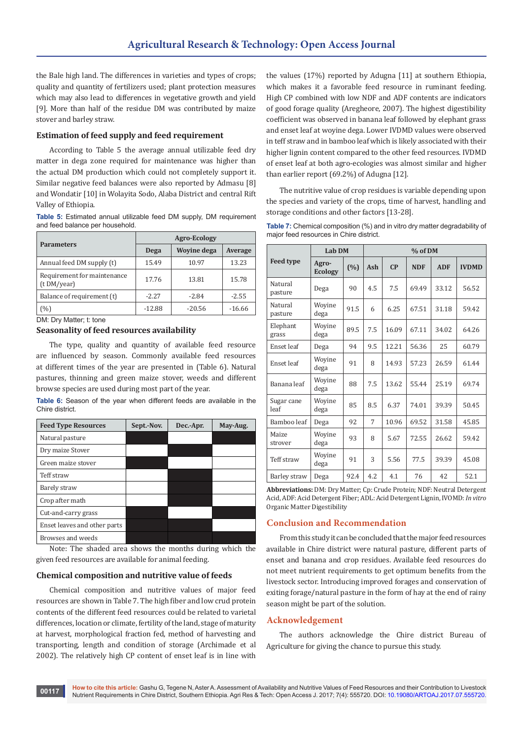the Bale high land. The differences in varieties and types of crops; quality and quantity of fertilizers used; plant protection measures which may also lead to differences in vegetative growth and yield [9]. More than half of the residue DM was contributed by maize stover and barley straw.

#### **Estimation of feed supply and feed requirement**

According to Table 5 the average annual utilizable feed dry matter in dega zone required for maintenance was higher than the actual DM production which could not completely support it. Similar negative feed balances were also reported by Admasu [8] and Wondatir [10] in Wolayita Sodo, Alaba District and central Rift Valley of Ethiopia.

**Table 5:** Estimated annual utilizable feed DM supply, DM requirement and feed balance per household.

| <b>Parameters</b>                          | <b>Agro-Ecology</b> |                    |          |  |  |
|--------------------------------------------|---------------------|--------------------|----------|--|--|
|                                            | Dega                | <b>Wovine dega</b> | Average  |  |  |
| Annual feed DM supply (t)                  | 15.49               | 10.97              | 13.23    |  |  |
| Requirement for maintenance<br>(t DM/year) | 17.76               | 13.81              | 15.78    |  |  |
| Balance of requirement (t)                 | $-2.27$             | $-2.84$            | $-2.55$  |  |  |
| (%)                                        | $-12.88$            | $-20.56$           | $-16.66$ |  |  |

DM: Dry Matter; t: tone

# **Seasonality of feed resources availability**

The type, quality and quantity of available feed resource are influenced by season. Commonly available feed resources at different times of the year are presented in (Table 6). Natural pastures, thinning and green maize stover, weeds and different browse species are used during most part of the year.

**Table 6:** Season of the year when different feeds are available in the Chire district.

| <b>Feed Type Resources</b>   | Sept.-Nov. | Dec.-Apr. | May-Aug. |
|------------------------------|------------|-----------|----------|
| Natural pasture              |            |           |          |
| Dry maize Stover             |            |           |          |
| Green maize stover           |            |           |          |
| Teff straw                   |            |           |          |
| Barely straw                 |            |           |          |
| Crop after math              |            |           |          |
| Cut-and-carry grass          |            |           |          |
| Enset leaves and other parts |            |           |          |
| Browses and weeds            |            |           |          |

Note: The shaded area shows the months during which the given feed resources are available for animal feeding.

## **Chemical composition and nutritive value of feeds**

Chemical composition and nutritive values of major feed resources are shown in Table 7. The high fiber and low crud protein contents of the different feed resources could be related to varietal differences, location or climate, fertility of the land, stage of maturity at harvest, morphological fraction fed, method of harvesting and transporting, length and condition of storage (Archimade et al 2002). The relatively high CP content of enset leaf is in line with

the values (17%) reported by Adugna [11] at southern Ethiopia, which makes it a favorable feed resource in ruminant feeding. High CP combined with low NDF and ADF contents are indicators of good forage quality (Aregheore, 2007). The highest digestibility coefficient was observed in banana leaf followed by elephant grass and enset leaf at woyine dega. Lower IVDMD values were observed in teff straw and in bamboo leaf which is likely associated with their higher lignin content compared to the other feed resources. IVDMD of enset leaf at both agro-ecologies was almost similar and higher than earlier report (69.2%) of Adugna [12].

The nutritive value of crop residues is variable depending upon the species and variety of the crops, time of harvest, handling and storage conditions and other factors [13-28].

| <b>Table 7:</b> Chemical composition (%) and in vitro dry matter degradability of |
|-----------------------------------------------------------------------------------|
| major feed resources in Chire district.                                           |

|                    | Lab DM                  |      | % of DM |       |            |            |              |
|--------------------|-------------------------|------|---------|-------|------------|------------|--------------|
| <b>Feed type</b>   | Agro-<br><b>Ecology</b> | (%)  | Ash     | CP    | <b>NDF</b> | <b>ADF</b> | <b>IVDMD</b> |
| Natural<br>pasture | Dega                    | 90   | 4.5     | 7.5   | 69.49      | 33.12      | 56.52        |
| Natural<br>pasture | Woyine<br>dega          | 91.5 | 6       | 6.25  | 67.51      | 31.18      | 59.42        |
| Elephant<br>grass  | Woyine<br>dega          | 89.5 | 7.5     | 16.09 | 67.11      | 34.02      | 64.26        |
| Enset leaf         | Dega                    | 94   | 9.5     | 12.21 | 56.36      | 25         | 60.79        |
| Enset leaf         | Woyine<br>dega          | 91   | 8       | 14.93 | 57.23      | 26.59      | 61.44        |
| Banana leaf        | Woyine<br>dega          | 88   | 7.5     | 13.62 | 55.44      | 25.19      | 69.74        |
| Sugar cane<br>leaf | Woyine<br>dega          | 85   | 8.5     | 6.37  | 74.01      | 39.39      | 50.45        |
| Bamboo leaf        | Dega                    | 92   | 7       | 10.96 | 69.52      | 31.58      | 45.85        |
| Maize<br>strover   | Woyine<br>dega          | 93   | 8       | 5.67  | 72.55      | 26.62      | 59.42        |
| Teff straw         | Woyine<br>dega          | 91   | 3       | 5.56  | 77.5       | 39.39      | 45.08        |
| Barley straw       | Dega                    | 92.4 | 4.2     | 4.1   | 76         | 42         | 52.1         |

**Abbreviations:** DM: Dry Matter; Cp: Crude Protein; NDF: Neutral Detergent Acid, ADF: Acid Detergent Fiber; ADL: Acid Detergent Lignin, IVOMD: *In vitro* Organic Matter Digestibility

#### **Conclusion and Recommendation**

From this study it can be concluded that the major feed resources available in Chire district were natural pasture, different parts of enset and banana and crop residues. Available feed resources do not meet nutrient requirements to get optimum benefits from the livestock sector. Introducing improved forages and conservation of exiting forage/natural pasture in the form of hay at the end of rainy season might be part of the solution.

#### **Acknowledgement**

The authors acknowledge the Chire district Bureau of Agriculture for giving the chance to pursue this study.